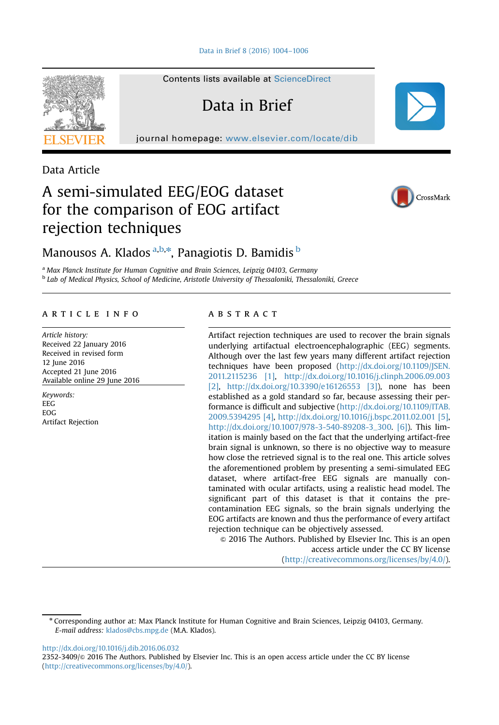

Contents lists available at [ScienceDirect](www.sciencedirect.com/science/journal/23523409)

Data in Brief

journal homepage: <www.elsevier.com/locate/dib>

Data Article

# A semi-simulated EEG/EOG dataset for the comparison of EOG artifact rejection techniques



# Manousos A. Klados <sup>a,b,</sup>\*, Panagiotis D. Bamidis <sup>b</sup>

<sup>a</sup> Max Planck Institute for Human Cognitive and Brain Sciences, Leipzig 04103, Germany **b Lab of Medical Physics, School of Medicine, Aristotle University of Thessaloniki, Thessaloniki, Greece** 

### article info

Article history: Received 22 January 2016 Received in revised form 12 June 2016 Accepted 21 June 2016 Available online 29 June 2016

Keywords: EEG EOG Artifact Rejection

# **ABSTRACT**

Artifact rejection techniques are used to recover the brain signals underlying artifactual electroencephalographic (EEG) segments. Although over the last few years many different artifact rejection techniques have been proposed [\(http://dx.doi.org/10.1109/JSEN.](http://dx.doi.org/10.1109/JSEN.2011.2115236) [2011.2115236](http://dx.doi.org/10.1109/JSEN.2011.2115236) [\[1\],](#page-2-0) <http://dx.doi.org/10.1016/j.clinph.2006.09.003> [\[2\]](#page-2-0), <http://dx.doi.org/10.3390/e16126553> [\[3\]\)](#page-2-0), none has been established as a gold standard so far, because assessing their performance is difficult and subjective ([http://dx.doi.org/10.1109/ITAB.](http://dx.doi.org/10.1109/ITAB.2009.5394295) [2009.5394295](http://dx.doi.org/10.1109/ITAB.2009.5394295) [\[4\],](#page-2-0) <http://dx.doi.org/10.1016/j.bspc.2011.02.001> [\[5\],](#page-2-0) [http://dx.doi.org/10.1007/978-3-540-89208-3\\_300](http://dx.doi.org/10.1007/978-3-540-89208-3_300). [\[6\]](#page-2-0)). This limitation is mainly based on the fact that the underlying artifact-free brain signal is unknown, so there is no objective way to measure how close the retrieved signal is to the real one. This article solves the aforementioned problem by presenting a semi-simulated EEG dataset, where artifact-free EEG signals are manually contaminated with ocular artifacts, using a realistic head model. The significant part of this dataset is that it contains the precontamination EEG signals, so the brain signals underlying the EOG artifacts are known and thus the performance of every artifact rejection technique can be objectively assessed.

 $\odot$  2016 The Authors. Published by Elsevier Inc. This is an open access article under the CC BY license (http://creativecommons.org/licenses/by/4.0/).

<http://dx.doi.org/10.1016/j.dib.2016.06.032>

2352-3409/ $\otimes$  2016 The Authors. Published by Elsevier Inc. This is an open access article under the CC BY license (http://creativecommons.org/licenses/by/4.0/).

<sup>n</sup> Corresponding author at: Max Planck Institute for Human Cognitive and Brain Sciences, Leipzig 04103, Germany. E-mail address: [klados@cbs.mpg.de](mailto:klados@cbs.mpg.de) (M.A. Klados).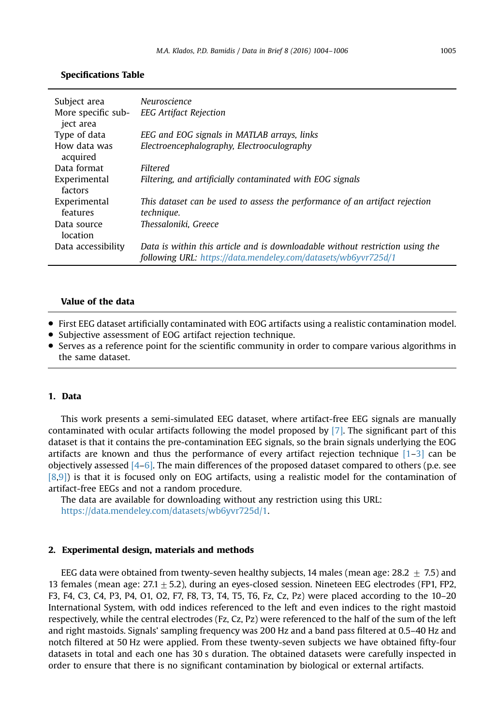# Specifications Table

| Subject area<br>More specific sub- | Neuroscience<br><b>EEG Artifact Rejection</b>                                                                                                   |
|------------------------------------|-------------------------------------------------------------------------------------------------------------------------------------------------|
| iect area                          |                                                                                                                                                 |
| Type of data                       | EEG and EOG signals in MATLAB arrays, links                                                                                                     |
| How data was<br>acquired           | Electroencephalography, Electrooculography                                                                                                      |
| Data format                        | Filtered                                                                                                                                        |
| Experimental<br>factors            | Filtering, and artificially contaminated with EOG signals                                                                                       |
| Experimental<br>features           | This dataset can be used to assess the performance of an artifact rejection<br>technique.                                                       |
| Data source<br>location            | Thessaloniki, Greece                                                                                                                            |
| Data accessibility                 | Data is within this article and is downloadable without restriction using the<br>following URL: https://data.mendeley.com/datasets/wb6yvr725d/1 |

#### Value of the data

- First EEG dataset artificially contaminated with EOG artifacts using a realistic contamination model.
- Subjective assessment of EOG artifact rejection technique.
- Serves as a reference point for the scientific community in order to compare various algorithms in the same dataset.

# 1. Data

This work presents a semi-simulated EEG dataset, where artifact-free EEG signals are manually contaminated with ocular artifacts following the model proposed by [\[7\].](#page-2-0) The significant part of this dataset is that it contains the pre-contamination EEG signals, so the brain signals underlying the EOG artifacts are known and thus the performance of every artifact rejection technique  $[1-3]$  $[1-3]$  $[1-3]$  can be objectively assessed  $[4-6]$  $[4-6]$  $[4-6]$ . The main differences of the proposed dataset compared to others (p.e. see [\[8](#page-2-0),[9\]\)](#page-2-0) is that it is focused only on EOG artifacts, using a realistic model for the contamination of artifact-free EEGs and not a random procedure.

The data are available for downloading without any restriction using this URL: [https://data.mendeley.com/datasets/wb6yvr725d/1.](https://data.mendeley.com/datasets/wb6yvr725d/1)

#### 2. Experimental design, materials and methods

EEG data were obtained from twenty-seven healthy subjects, 14 males (mean age: 28.2  $\pm$  7.5) and 13 females (mean age:  $27.1 + 5.2$ ), during an eyes-closed session. Nineteen EEG electrodes (FP1, FP2, F3, F4, C3, C4, P3, P4, O1, O2, F7, F8, T3, T4, T5, T6, Fz, Cz, Pz) were placed according to the 10–20 International System, with odd indices referenced to the left and even indices to the right mastoid respectively, while the central electrodes (Fz, Cz, Pz) were referenced to the half of the sum of the left and right mastoids. Signals' sampling frequency was 200 Hz and a band pass filtered at 0.5–40 Hz and notch filtered at 50 Hz were applied. From these twenty-seven subjects we have obtained fifty-four datasets in total and each one has 30 s duration. The obtained datasets were carefully inspected in order to ensure that there is no significant contamination by biological or external artifacts.